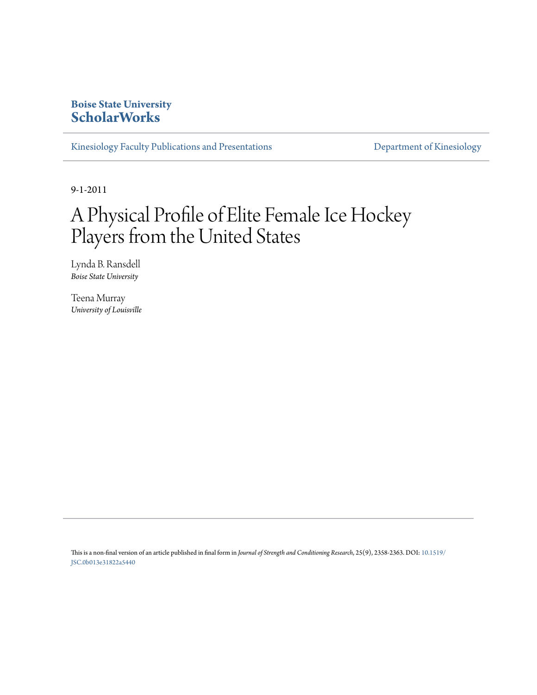# **Boise State University [ScholarWorks](https://scholarworks.boisestate.edu)**

[Kinesiology Faculty Publications and Presentations](https://scholarworks.boisestate.edu/kinesiology_facpubs) **[Department of Kinesiology](https://scholarworks.boisestate.edu/kinesiology)** 

9-1-2011

# A Physical Profile of Elite Female Ice Hockey Players from the United States

Lynda B. Ransdell *Boise State University*

Teena Murray *University of Louisville*

This is a non-final version of an article published in final form in *Journal of Strength and Conditioning Research*, 25(9), 2358-2363. DOI: [10.1519/](http://dx.doi.org/10.1519/JSC.0b013e31822a5440) [JSC.0b013e31822a5440](http://dx.doi.org/10.1519/JSC.0b013e31822a5440)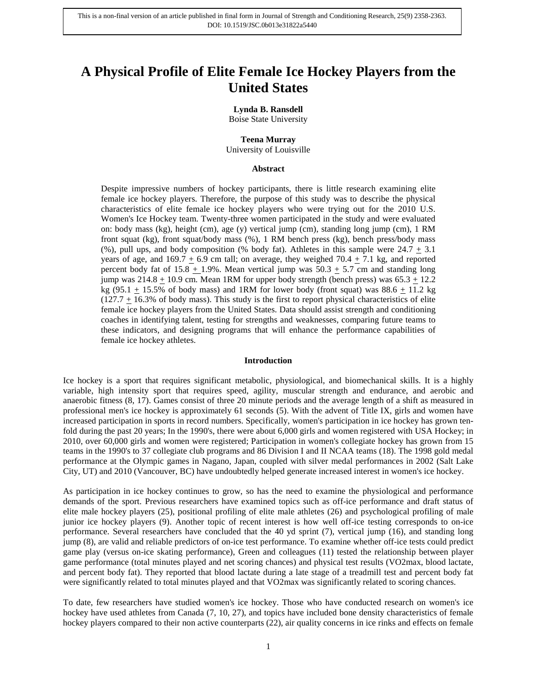# **A Physical Profile of Elite Female Ice Hockey Players from the United States**

#### **Lynda B. Ransdell**

Boise State University

## **Teena Murray**

University of Louisville

#### **Abstract**

Despite impressive numbers of hockey participants, there is little research examining elite female ice hockey players. Therefore, the purpose of this study was to describe the physical characteristics of elite female ice hockey players who were trying out for the 2010 U.S. Women's Ice Hockey team. Twenty-three women participated in the study and were evaluated on: body mass (kg), height (cm), age (y) vertical jump (cm), standing long jump (cm), 1 RM front squat (kg), front squat/body mass (%), 1 RM bench press (kg), bench press/body mass (%), pull ups, and body composition (% body fat). Athletes in this sample were  $24.7 \pm 3.1$ years of age, and 169.7  $\pm$  6.9 cm tall; on average, they weighed 70.4  $\pm$  7.1 kg, and reported percent body fat of 15.8  $\pm$  1.9%. Mean vertical jump was 50.3  $\pm$  5.7 cm and standing long jump was  $214.8 \pm 10.9$  cm. Mean 1RM for upper body strength (bench press) was  $65.3 \pm 12.2$ kg (95.1  $\pm$  15.5% of body mass) and 1RM for lower body (front squat) was 88.6  $\pm$  11.2 kg  $(127.7 \pm 16.3\%$  of body mass). This study is the first to report physical characteristics of elite female ice hockey players from the United States. Data should assist strength and conditioning coaches in identifying talent, testing for strengths and weaknesses, comparing future teams to these indicators, and designing programs that will enhance the performance capabilities of female ice hockey athletes.

#### **Introduction**

Ice hockey is a sport that requires significant metabolic, physiological, and biomechanical skills. It is a highly variable, high intensity sport that requires speed, agility, muscular strength and endurance, and aerobic and anaerobic fitness (8, 17). Games consist of three 20 minute periods and the average length of a shift as measured in professional men's ice hockey is approximately 61 seconds (5). With the advent of Title IX, girls and women have increased participation in sports in record numbers. Specifically, women's participation in ice hockey has grown tenfold during the past 20 years; In the 1990's, there were about 6,000 girls and women registered with USA Hockey; in 2010, over 60,000 girls and women were registered; Participation in women's collegiate hockey has grown from 15 teams in the 1990's to 37 collegiate club programs and 86 Division I and II NCAA teams (18). The 1998 gold medal performance at the Olympic games in Nagano, Japan, coupled with silver medal performances in 2002 (Salt Lake City, UT) and 2010 (Vancouver, BC) have undoubtedly helped generate increased interest in women's ice hockey.

As participation in ice hockey continues to grow, so has the need to examine the physiological and performance demands of the sport. Previous researchers have examined topics such as off-ice performance and draft status of elite male hockey players (25), positional profiling of elite male athletes (26) and psychological profiling of male junior ice hockey players (9). Another topic of recent interest is how well off-ice testing corresponds to on-ice performance. Several researchers have concluded that the 40 yd sprint (7), vertical jump (16), and standing long jump (8), are valid and reliable predictors of on-ice test performance. To examine whether off-ice tests could predict game play (versus on-ice skating performance), Green and colleagues (11) tested the relationship between player game performance (total minutes played and net scoring chances) and physical test results (VO2max, blood lactate, and percent body fat). They reported that blood lactate during a late stage of a treadmill test and percent body fat were significantly related to total minutes played and that VO2max was significantly related to scoring chances.

To date, few researchers have studied women's ice hockey. Those who have conducted research on women's ice hockey have used athletes from Canada (7, 10, 27), and topics have included bone density characteristics of female hockey players compared to their non active counterparts (22), air quality concerns in ice rinks and effects on female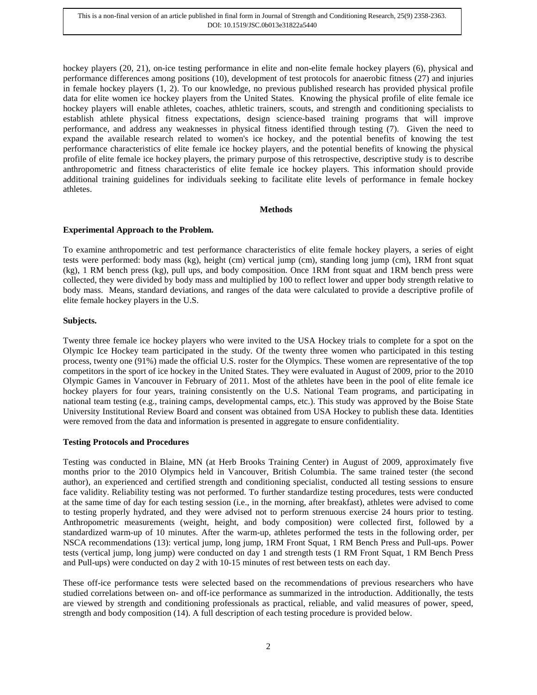hockey players (20, 21), on-ice testing performance in elite and non-elite female hockey players (6), physical and performance differences among positions (10), development of test protocols for anaerobic fitness (27) and injuries in female hockey players (1, 2). To our knowledge, no previous published research has provided physical profile data for elite women ice hockey players from the United States. Knowing the physical profile of elite female ice hockey players will enable athletes, coaches, athletic trainers, scouts, and strength and conditioning specialists to establish athlete physical fitness expectations, design science-based training programs that will improve performance, and address any weaknesses in physical fitness identified through testing (7). Given the need to expand the available research related to women's ice hockey, and the potential benefits of knowing the test performance characteristics of elite female ice hockey players, and the potential benefits of knowing the physical profile of elite female ice hockey players, the primary purpose of this retrospective, descriptive study is to describe anthropometric and fitness characteristics of elite female ice hockey players. This information should provide additional training guidelines for individuals seeking to facilitate elite levels of performance in female hockey athletes.

#### **Methods**

## **Experimental Approach to the Problem.**

To examine anthropometric and test performance characteristics of elite female hockey players, a series of eight tests were performed: body mass (kg), height (cm) vertical jump (cm), standing long jump (cm), 1RM front squat (kg), 1 RM bench press (kg), pull ups, and body composition. Once 1RM front squat and 1RM bench press were collected, they were divided by body mass and multiplied by 100 to reflect lower and upper body strength relative to body mass. Means, standard deviations, and ranges of the data were calculated to provide a descriptive profile of elite female hockey players in the U.S.

# **Subjects.**

Twenty three female ice hockey players who were invited to the USA Hockey trials to complete for a spot on the Olympic Ice Hockey team participated in the study. Of the twenty three women who participated in this testing process, twenty one (91%) made the official U.S. roster for the Olympics. These women are representative of the top competitors in the sport of ice hockey in the United States. They were evaluated in August of 2009, prior to the 2010 Olympic Games in Vancouver in February of 2011. Most of the athletes have been in the pool of elite female ice hockey players for four years, training consistently on the U.S. National Team programs, and participating in national team testing (e.g., training camps, developmental camps, etc.). This study was approved by the Boise State University Institutional Review Board and consent was obtained from USA Hockey to publish these data. Identities were removed from the data and information is presented in aggregate to ensure confidentiality.

## **Testing Protocols and Procedures**

Testing was conducted in Blaine, MN (at Herb Brooks Training Center) in August of 2009, approximately five months prior to the 2010 Olympics held in Vancouver, British Columbia. The same trained tester (the second author), an experienced and certified strength and conditioning specialist, conducted all testing sessions to ensure face validity. Reliability testing was not performed. To further standardize testing procedures, tests were conducted at the same time of day for each testing session (i.e., in the morning, after breakfast), athletes were advised to come to testing properly hydrated, and they were advised not to perform strenuous exercise 24 hours prior to testing. Anthropometric measurements (weight, height, and body composition) were collected first, followed by a standardized warm-up of 10 minutes. After the warm-up, athletes performed the tests in the following order, per NSCA recommendations (13): vertical jump, long jump, 1RM Front Squat, 1 RM Bench Press and Pull-ups. Power tests (vertical jump, long jump) were conducted on day 1 and strength tests (1 RM Front Squat, 1 RM Bench Press and Pull-ups) were conducted on day 2 with 10-15 minutes of rest between tests on each day.

These off-ice performance tests were selected based on the recommendations of previous researchers who have studied correlations between on- and off-ice performance as summarized in the introduction. Additionally, the tests are viewed by strength and conditioning professionals as practical, reliable, and valid measures of power, speed, strength and body composition (14). A full description of each testing procedure is provided below.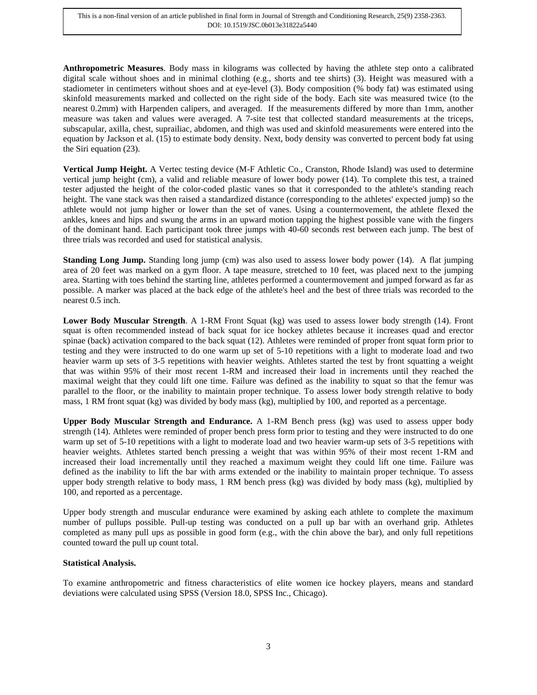**Anthropometric Measures**. Body mass in kilograms was collected by having the athlete step onto a calibrated digital scale without shoes and in minimal clothing (e.g., shorts and tee shirts) (3). Height was measured with a stadiometer in centimeters without shoes and at eye-level (3). Body composition (% body fat) was estimated using skinfold measurements marked and collected on the right side of the body. Each site was measured twice (to the nearest 0.2mm) with Harpenden calipers, and averaged. If the measurements differed by more than 1mm, another measure was taken and values were averaged. A 7-site test that collected standard measurements at the triceps, subscapular, axilla, chest, suprailiac, abdomen, and thigh was used and skinfold measurements were entered into the equation by Jackson et al. (15) to estimate body density. Next, body density was converted to percent body fat using the Siri equation (23).

**Vertical Jump Height.** A Vertec testing device (M-F Athletic Co., Cranston, Rhode Island) was used to determine vertical jump height (cm), a valid and reliable measure of lower body power (14). To complete this test, a trained tester adjusted the height of the color-coded plastic vanes so that it corresponded to the athlete's standing reach height. The vane stack was then raised a standardized distance (corresponding to the athletes' expected jump) so the athlete would not jump higher or lower than the set of vanes. Using a countermovement, the athlete flexed the ankles, knees and hips and swung the arms in an upward motion tapping the highest possible vane with the fingers of the dominant hand. Each participant took three jumps with 40-60 seconds rest between each jump. The best of three trials was recorded and used for statistical analysis.

**Standing Long Jump.** Standing long jump (cm) was also used to assess lower body power (14). A flat jumping area of 20 feet was marked on a gym floor. A tape measure, stretched to 10 feet, was placed next to the jumping area. Starting with toes behind the starting line, athletes performed a countermovement and jumped forward as far as possible. A marker was placed at the back edge of the athlete's heel and the best of three trials was recorded to the nearest 0.5 inch.

**Lower Body Muscular Strength**. A 1-RM Front Squat (kg) was used to assess lower body strength (14). Front squat is often recommended instead of back squat for ice hockey athletes because it increases quad and erector spinae (back) activation compared to the back squat (12). Athletes were reminded of proper front squat form prior to testing and they were instructed to do one warm up set of 5-10 repetitions with a light to moderate load and two heavier warm up sets of 3-5 repetitions with heavier weights. Athletes started the test by front squatting a weight that was within 95% of their most recent 1-RM and increased their load in increments until they reached the maximal weight that they could lift one time. Failure was defined as the inability to squat so that the femur was parallel to the floor, or the inability to maintain proper technique. To assess lower body strength relative to body mass, 1 RM front squat (kg) was divided by body mass (kg), multiplied by 100, and reported as a percentage.

**Upper Body Muscular Strength and Endurance.** A 1-RM Bench press (kg) was used to assess upper body strength (14). Athletes were reminded of proper bench press form prior to testing and they were instructed to do one warm up set of 5-10 repetitions with a light to moderate load and two heavier warm-up sets of 3-5 repetitions with heavier weights. Athletes started bench pressing a weight that was within 95% of their most recent 1-RM and increased their load incrementally until they reached a maximum weight they could lift one time. Failure was defined as the inability to lift the bar with arms extended or the inability to maintain proper technique. To assess upper body strength relative to body mass, 1 RM bench press (kg) was divided by body mass (kg), multiplied by 100, and reported as a percentage.

Upper body strength and muscular endurance were examined by asking each athlete to complete the maximum number of pullups possible. Pull-up testing was conducted on a pull up bar with an overhand grip. Athletes completed as many pull ups as possible in good form (e.g., with the chin above the bar), and only full repetitions counted toward the pull up count total.

# **Statistical Analysis.**

To examine anthropometric and fitness characteristics of elite women ice hockey players, means and standard deviations were calculated using SPSS (Version 18.0, SPSS Inc., Chicago).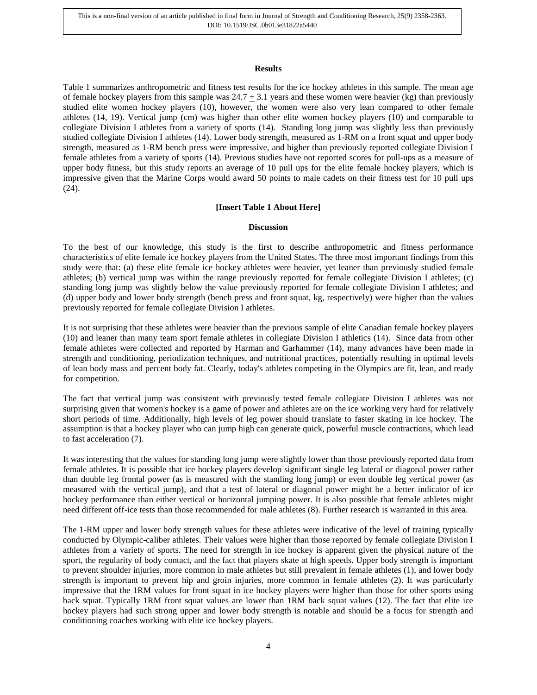This is a non-final version of an article published in final form in Journal of Strength and Conditioning Research, 25(9) 2358-2363. DOI: 10.1519/JSC.0b013e31822a5440

#### **Results**

Table 1 summarizes anthropometric and fitness test results for the ice hockey athletes in this sample. The mean age of female hockey players from this sample was  $24.7 \pm 3.1$  years and these women were heavier (kg) than previously studied elite women hockey players (10), however, the women were also very lean compared to other female athletes (14, 19). Vertical jump (cm) was higher than other elite women hockey players (10) and comparable to collegiate Division I athletes from a variety of sports (14). Standing long jump was slightly less than previously studied collegiate Division I athletes (14). Lower body strength, measured as 1-RM on a front squat and upper body strength, measured as 1-RM bench press were impressive, and higher than previously reported collegiate Division I female athletes from a variety of sports (14). Previous studies have not reported scores for pull-ups as a measure of upper body fitness, but this study reports an average of 10 pull ups for the elite female hockey players, which is impressive given that the Marine Corps would award 50 points to male cadets on their fitness test for 10 pull ups (24).

# **[Insert Table 1 About Here]**

## **Discussion**

To the best of our knowledge, this study is the first to describe anthropometric and fitness performance characteristics of elite female ice hockey players from the United States. The three most important findings from this study were that: (a) these elite female ice hockey athletes were heavier, yet leaner than previously studied female athletes; (b) vertical jump was within the range previously reported for female collegiate Division I athletes; (c) standing long jump was slightly below the value previously reported for female collegiate Division I athletes; and (d) upper body and lower body strength (bench press and front squat, kg, respectively) were higher than the values previously reported for female collegiate Division I athletes.

It is not surprising that these athletes were heavier than the previous sample of elite Canadian female hockey players (10) and leaner than many team sport female athletes in collegiate Division I athletics (14). Since data from other female athletes were collected and reported by Harman and Garhammer (14), many advances have been made in strength and conditioning, periodization techniques, and nutritional practices, potentially resulting in optimal levels of lean body mass and percent body fat. Clearly, today's athletes competing in the Olympics are fit, lean, and ready for competition.

The fact that vertical jump was consistent with previously tested female collegiate Division I athletes was not surprising given that women's hockey is a game of power and athletes are on the ice working very hard for relatively short periods of time. Additionally, high levels of leg power should translate to faster skating in ice hockey. The assumption is that a hockey player who can jump high can generate quick, powerful muscle contractions, which lead to fast acceleration (7).

It was interesting that the values for standing long jump were slightly lower than those previously reported data from female athletes. It is possible that ice hockey players develop significant single leg lateral or diagonal power rather than double leg frontal power (as is measured with the standing long jump) or even double leg vertical power (as measured with the vertical jump), and that a test of lateral or diagonal power might be a better indicator of ice hockey performance than either vertical or horizontal jumping power. It is also possible that female athletes might need different off-ice tests than those recommended for male athletes (8). Further research is warranted in this area.

The 1-RM upper and lower body strength values for these athletes were indicative of the level of training typically conducted by Olympic-caliber athletes. Their values were higher than those reported by female collegiate Division I athletes from a variety of sports. The need for strength in ice hockey is apparent given the physical nature of the sport, the regularity of body contact, and the fact that players skate at high speeds. Upper body strength is important to prevent shoulder injuries, more common in male athletes but still prevalent in female athletes (1), and lower body strength is important to prevent hip and groin injuries, more common in female athletes (2). It was particularly impressive that the 1RM values for front squat in ice hockey players were higher than those for other sports using back squat. Typically 1RM front squat values are lower than 1RM back squat values (12). The fact that elite ice hockey players had such strong upper and lower body strength is notable and should be a focus for strength and conditioning coaches working with elite ice hockey players.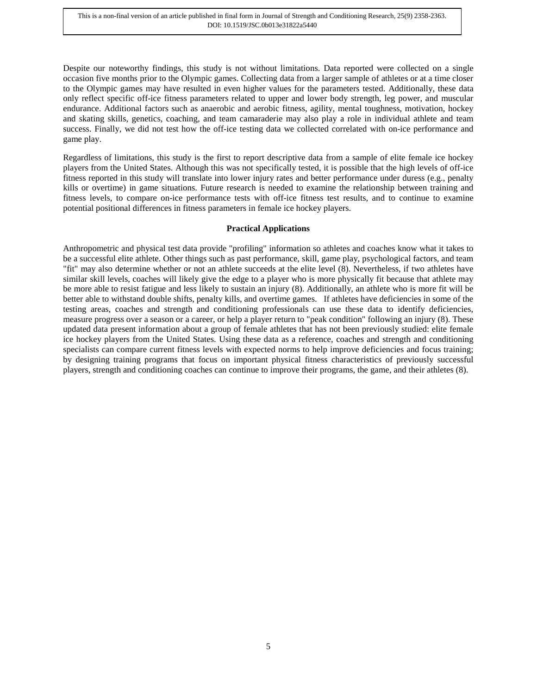Despite our noteworthy findings, this study is not without limitations. Data reported were collected on a single occasion five months prior to the Olympic games. Collecting data from a larger sample of athletes or at a time closer to the Olympic games may have resulted in even higher values for the parameters tested. Additionally, these data only reflect specific off-ice fitness parameters related to upper and lower body strength, leg power, and muscular endurance. Additional factors such as anaerobic and aerobic fitness, agility, mental toughness, motivation, hockey and skating skills, genetics, coaching, and team camaraderie may also play a role in individual athlete and team success. Finally, we did not test how the off-ice testing data we collected correlated with on-ice performance and game play.

Regardless of limitations, this study is the first to report descriptive data from a sample of elite female ice hockey players from the United States. Although this was not specifically tested, it is possible that the high levels of off-ice fitness reported in this study will translate into lower injury rates and better performance under duress (e.g., penalty kills or overtime) in game situations. Future research is needed to examine the relationship between training and fitness levels, to compare on-ice performance tests with off-ice fitness test results, and to continue to examine potential positional differences in fitness parameters in female ice hockey players.

# **Practical Applications**

Anthropometric and physical test data provide "profiling" information so athletes and coaches know what it takes to be a successful elite athlete. Other things such as past performance, skill, game play, psychological factors, and team "fit" may also determine whether or not an athlete succeeds at the elite level (8). Nevertheless, if two athletes have similar skill levels, coaches will likely give the edge to a player who is more physically fit because that athlete may be more able to resist fatigue and less likely to sustain an injury (8). Additionally, an athlete who is more fit will be better able to withstand double shifts, penalty kills, and overtime games. If athletes have deficiencies in some of the testing areas, coaches and strength and conditioning professionals can use these data to identify deficiencies, measure progress over a season or a career, or help a player return to "peak condition" following an injury (8). These updated data present information about a group of female athletes that has not been previously studied: elite female ice hockey players from the United States. Using these data as a reference, coaches and strength and conditioning specialists can compare current fitness levels with expected norms to help improve deficiencies and focus training; by designing training programs that focus on important physical fitness characteristics of previously successful players, strength and conditioning coaches can continue to improve their programs, the game, and their athletes (8).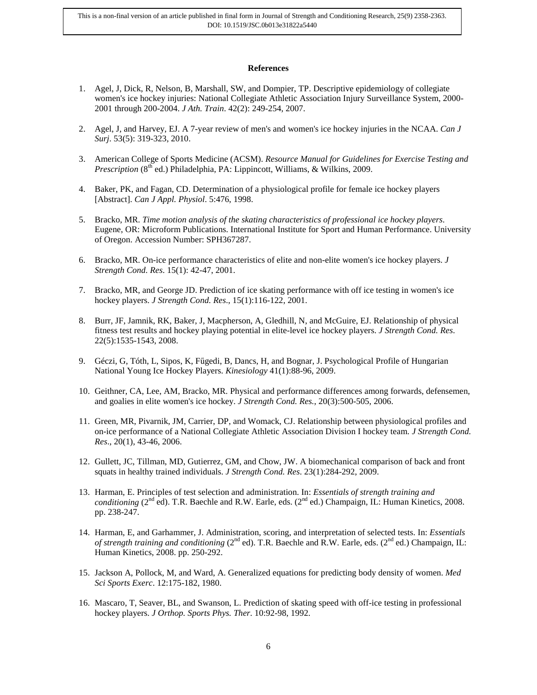#### **References**

- 1. Agel, J, Dick, R, Nelson, B, Marshall, SW, and Dompier, TP. Descriptive epidemiology of collegiate women's ice hockey injuries: National Collegiate Athletic Association Injury Surveillance System, 2000- 2001 through 200-2004. *J Ath. Train*. 42(2): 249-254, 2007.
- 2. Agel, J, and Harvey, EJ. A 7-year review of men's and women's ice hockey injuries in the NCAA. *Can J Surj*. 53(5): 319-323, 2010.
- 3. American College of Sports Medicine (ACSM). *Resource Manual for Guidelines for Exercise Testing and Prescription* (8<sup>th</sup> ed.) Philadelphia, PA: Lippincott, Williams, & Wilkins, 2009.
- 4. Baker, PK, and Fagan, CD. Determination of a physiological profile for female ice hockey players [Abstract]. *Can J Appl. Physiol*. 5:476, 1998.
- 5. Bracko, MR. *Time motion analysis of the skating characteristics of professional ice hockey players*. Eugene, OR: Microform Publications. International Institute for Sport and Human Performance. University of Oregon. Accession Number: SPH367287.
- 6. Bracko, MR. On-ice performance characteristics of elite and non-elite women's ice hockey players. *J Strength Cond. Res*. 15(1): 42-47, 2001.
- 7. Bracko, MR, and George JD. Prediction of ice skating performance with off ice testing in women's ice hockey players. *J Strength Cond. Res*., 15(1):116-122, 2001.
- 8. Burr, JF, Jamnik, RK, Baker, J, Macpherson, A, Gledhill, N, and McGuire, EJ. Relationship of physical fitness test results and hockey playing potential in elite-level ice hockey players. *J Strength Cond. Res*. 22(5):1535-1543, 2008.
- 9. Géczi, G, Tóth, L, Sipos, K, Fűgedi, B, Dancs, H, and Bognar, J. Psychological Profile of Hungarian National Young Ice Hockey Players. *Kinesiology* 41(1):88-96, 2009.
- 10. Geithner, CA, Lee, AM, Bracko, MR. Physical and performance differences among forwards, defensemen, and goalies in elite women's ice hockey. *J Strength Cond. Res.*, 20(3):500-505, 2006.
- 11. Green, MR, Pivarnik, JM, Carrier, DP, and Womack, CJ. Relationship between physiological profiles and on-ice performance of a National Collegiate Athletic Association Division I hockey team. *J Strength Cond. Res*., 20(1), 43-46, 2006.
- 12. Gullett, JC, Tillman, MD, Gutierrez, GM, and Chow, JW. A biomechanical comparison of back and front squats in healthy trained individuals. *J Strength Cond. Res*. 23(1):284-292, 2009.
- 13. Harman, E. Principles of test selection and administration. In: *Essentials of strength training and conditioning* (2<sup>nd</sup> ed). T.R. Baechle and R.W. Earle, eds. (2<sup>nd</sup> ed.) Champaign, IL: Human Kinetics, 2008. pp. 238-247.
- 14. Harman, E, and Garhammer, J. Administration, scoring, and interpretation of selected tests. In: *Essentials of strength training and conditioning* ( $2^{nd}$  ed). T.R. Baechle and R.W. Earle, eds. ( $2^{nd}$  ed.) Champaign, IL: Human Kinetics, 2008. pp. 250-292.
- 15. Jackson A, Pollock, M, and Ward, A. Generalized equations for predicting body density of women. *Med Sci Sports Exerc*. 12:175-182, 1980.
- 16. Mascaro, T, Seaver, BL, and Swanson, L. Prediction of skating speed with off-ice testing in professional hockey players. *J Orthop. Sports Phys. Ther*. 10:92-98, 1992.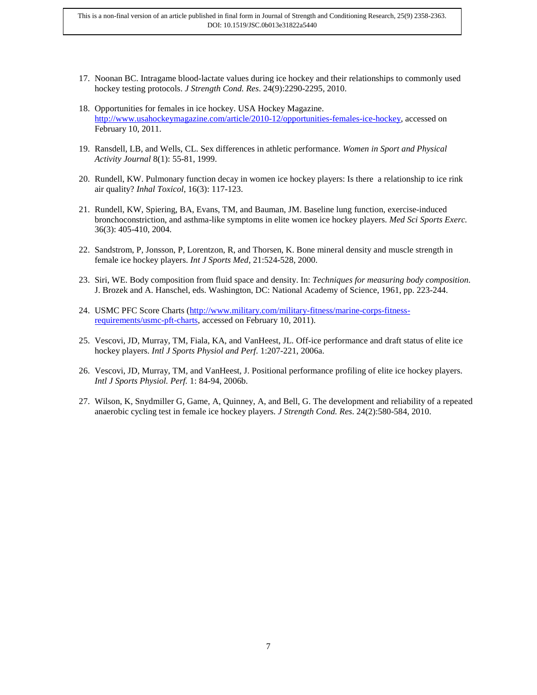This is a non-final version of an article published in final form in Journal of Strength and Conditioning Research, 25(9) 2358-2363. DOI: 10.1519/JSC.0b013e31822a5440

- 17. Noonan BC. Intragame blood-lactate values during ice hockey and their relationships to commonly used hockey testing protocols. *J Strength Cond. Res*. 24(9):2290-2295, 2010.
- 18. Opportunities for females in ice hockey. USA Hockey Magazine. [http://www.usahockeymagazine.com/article/2010-12/opportunities-females-ice-hockey,](http://www.usahockeymagazine.com/article/2010-12/opportunities-females-ice-hockey) accessed on February 10, 2011.
- 19. Ransdell, LB, and Wells, CL. Sex differences in athletic performance. *Women in Sport and Physical Activity Journal* 8(1): 55-81, 1999.
- 20. Rundell, KW. Pulmonary function decay in women ice hockey players: Is there a relationship to ice rink air quality? *Inhal Toxicol*, 16(3): 117-123.
- 21. Rundell, KW, Spiering, BA, Evans, TM, and Bauman, JM. Baseline lung function, exercise-induced bronchoconstriction, and asthma-like symptoms in elite women ice hockey players. *Med Sci Sports Exerc.* 36(3): 405-410, 2004.
- 22. Sandstrom, P, Jonsson, P, Lorentzon, R, and Thorsen, K. Bone mineral density and muscle strength in female ice hockey players. *Int J Sports Med*, 21:524-528, 2000.
- 23. Siri, WE. Body composition from fluid space and density. In: *Techniques for measuring body composition.* J. Brozek and A. Hanschel, eds. Washington, DC: National Academy of Science, 1961, pp. 223-244.
- 24. USMC PFC Score Charts [\(http://www.military.com/military-fitness/marine-corps-fitness](http://www.military.com/military-fitness/marine-corps-fitness-requirements/usmc-pft-charts)[requirements/usmc-pft-charts,](http://www.military.com/military-fitness/marine-corps-fitness-requirements/usmc-pft-charts) accessed on February 10, 2011).
- 25. Vescovi, JD, Murray, TM, Fiala, KA, and VanHeest, JL. Off-ice performance and draft status of elite ice hockey players. *Intl J Sports Physiol and Perf*. 1:207-221, 2006a.
- 26. Vescovi, JD, Murray, TM, and VanHeest, J. Positional performance profiling of elite ice hockey players. *Intl J Sports Physiol. Perf.* 1: 84-94, 2006b.
- 27. Wilson, K, Snydmiller G, Game, A, Quinney, A, and Bell, G. The development and reliability of a repeated anaerobic cycling test in female ice hockey players. *J Strength Cond. Res*. 24(2):580-584, 2010.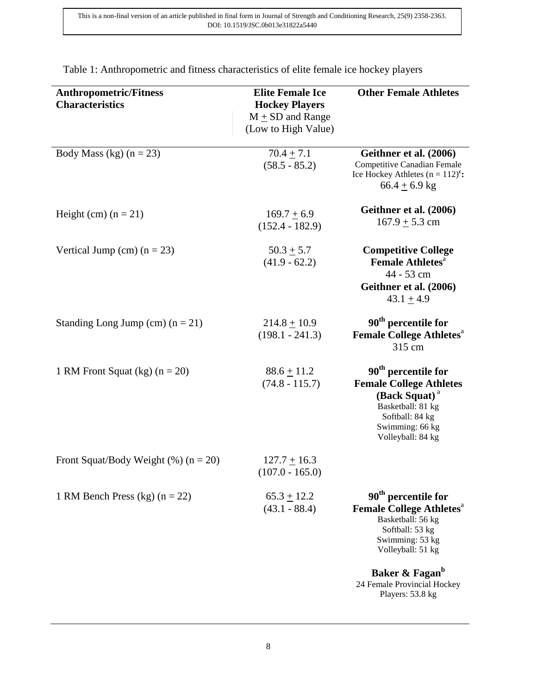| <b>Anthropometric/Fitness</b><br><b>Characteristics</b> | <b>Elite Female Ice</b><br><b>Hockey Players</b><br>$M \pm SD$ and Range<br>(Low to High Value) | <b>Other Female Athletes</b>                                                                                                                                                   |
|---------------------------------------------------------|-------------------------------------------------------------------------------------------------|--------------------------------------------------------------------------------------------------------------------------------------------------------------------------------|
| Body Mass (kg) $(n = 23)$                               | $70.4 + 7.1$<br>$(58.5 - 85.2)$                                                                 | Geithner et al. (2006)<br>Competitive Canadian Female<br>Ice Hockey Athletes $(n = 112)^{c}$ :<br>$66.4 + 6.9$ kg                                                              |
| Height (cm) $(n = 21)$                                  | $169.7 + 6.9$<br>$(152.4 - 182.9)$                                                              | Geithner et al. (2006)<br>$167.9 \pm 5.3$ cm                                                                                                                                   |
| Vertical Jump (cm) $(n = 23)$                           | $50.3 + 5.7$<br>$(41.9 - 62.2)$                                                                 | <b>Competitive College</b><br><b>Female Athletes</b> <sup>a</sup><br>44 - 53 cm<br>Geithner et al. (2006)<br>$43.1 + 4.9$                                                      |
| Standing Long Jump (cm) $(n = 21)$                      | $214.8 + 10.9$<br>$(198.1 - 241.3)$                                                             | 90 <sup>th</sup> percentile for<br><b>Female College Athletes<sup>a</sup></b><br>315 cm                                                                                        |
| 1 RM Front Squat (kg) $(n = 20)$                        | $88.6 \pm 11.2$<br>$(74.8 - 115.7)$                                                             | 90 <sup>th</sup> percentile for<br><b>Female College Athletes</b><br>(Back Squat) <sup>a</sup><br>Basketball: 81 kg<br>Softball: 84 kg<br>Swimming: 66 kg<br>Volleyball: 84 kg |
| Front Squat/Body Weight $(\%)(n = 20)$                  | $127.7 \pm 16.3$<br>$(107.0 - 165.0)$                                                           |                                                                                                                                                                                |
| 1 RM Bench Press (kg) $(n = 22)$                        | $65.3 \pm 12.2$<br>$(43.1 - 88.4)$                                                              | 90 <sup>th</sup> percentile for<br><b>Female College Athletes</b> <sup>a</sup><br>Basketball: 56 kg<br>Softball: 53 kg<br>Swimming: 53 kg<br>Volleyball: 51 kg                 |
|                                                         |                                                                                                 | Baker & Fagan <sup>b</sup><br>24 Female Provincial Hockey<br>Players: 53.8 kg                                                                                                  |

Table 1: Anthropometric and fitness characteristics of elite female ice hockey players